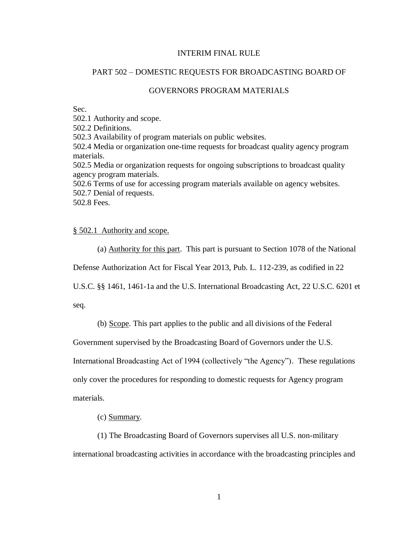# INTERIM FINAL RULE

## PART 502 – DOMESTIC REQUESTS FOR BROADCASTING BOARD OF

# GOVERNORS PROGRAM MATERIALS

Sec.

502.1 Authority and scope.

502.2 Definitions.

502.3 Availability of program materials on public websites.

502.4 Media or organization one-time requests for broadcast quality agency program materials.

502.5 Media or organization requests for ongoing subscriptions to broadcast quality agency program materials.

502.6 Terms of use for accessing program materials available on agency websites. 502.7 Denial of requests.

502.8 Fees.

## § 502.1 Authority and scope.

(a) Authority for this part. This part is pursuant to Section 1078 of the National

Defense Authorization Act for Fiscal Year 2013, Pub. L. 112-239, as codified in 22

U.S.C. §§ 1461, 1461-1a and the U.S. International Broadcasting Act, 22 U.S.C. 6201 et

seq.

(b) Scope. This part applies to the public and all divisions of the Federal

Government supervised by the Broadcasting Board of Governors under the U.S.

International Broadcasting Act of 1994 (collectively "the Agency"). These regulations

only cover the procedures for responding to domestic requests for Agency program materials.

(c) Summary.

(1) The Broadcasting Board of Governors supervises all U.S. non-military international broadcasting activities in accordance with the broadcasting principles and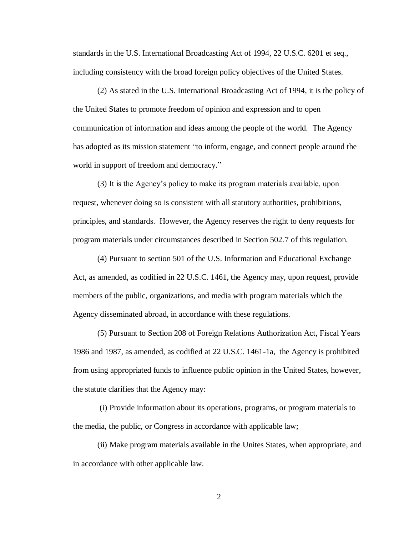standards in the U.S. International Broadcasting Act of 1994, 22 U.S.C. 6201 et seq., including consistency with the broad foreign policy objectives of the United States.

(2) As stated in the U.S. International Broadcasting Act of 1994, it is the policy of the United States to promote freedom of opinion and expression and to open communication of information and ideas among the people of the world. The Agency has adopted as its mission statement "to inform, engage, and connect people around the world in support of freedom and democracy."

(3) It is the Agency's policy to make its program materials available, upon request, whenever doing so is consistent with all statutory authorities, prohibitions, principles, and standards. However, the Agency reserves the right to deny requests for program materials under circumstances described in Section 502.7 of this regulation.

(4) Pursuant to section 501 of the U.S. Information and Educational Exchange Act, as amended, as codified in 22 U.S.C. 1461, the Agency may, upon request, provide members of the public, organizations, and media with program materials which the Agency disseminated abroad, in accordance with these regulations.

(5) Pursuant to Section 208 of Foreign Relations Authorization Act, Fiscal Years 1986 and 1987, as amended, as codified at 22 U.S.C. 1461-1a, the Agency is prohibited from using appropriated funds to influence public opinion in the United States, however, the statute clarifies that the Agency may:

(i) Provide information about its operations, programs, or program materials to the media, the public, or Congress in accordance with applicable law;

(ii) Make program materials available in the Unites States, when appropriate, and in accordance with other applicable law.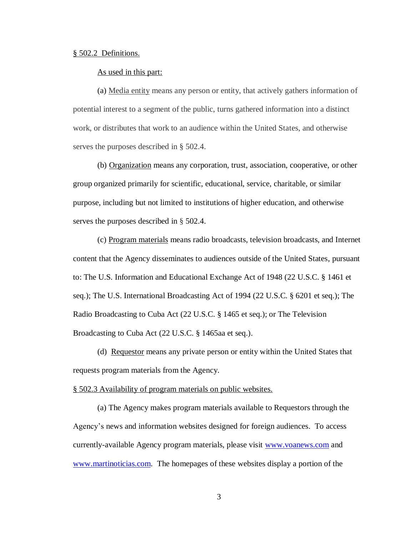#### § 502.2 Definitions.

## As used in this part:

(a) Media entity means any person or entity, that actively gathers information of potential interest to a segment of the public, turns gathered information into a distinct work, or distributes that work to an audience within the United States, and otherwise serves the purposes described in § 502.4.

(b) Organization means any corporation, trust, association, cooperative, or other group organized primarily for scientific, educational, service, charitable, or similar purpose, including but not limited to institutions of higher education, and otherwise serves the purposes described in § 502.4.

(c) Program materials means radio broadcasts, television broadcasts, and Internet content that the Agency disseminates to audiences outside of the United States, pursuant to: The U.S. Information and Educational Exchange Act of 1948 (22 U.S.C. § 1461 et seq.); The U.S. International Broadcasting Act of 1994 (22 U.S.C. § 6201 et seq.); The Radio Broadcasting to Cuba Act (22 U.S.C. § 1465 et seq.); or The Television Broadcasting to Cuba Act (22 U.S.C. § 1465aa et seq.).

(d) Requestor means any private person or entity within the United States that requests program materials from the Agency.

### § 502.3 Availability of program materials on public websites.

(a) The Agency makes program materials available to Requestors through the Agency's news and information websites designed for foreign audiences. To access currently-available Agency program materials, please visit [www.voanews.com](http://www.voanews.com/) and [www.martinoticias.com.](../../../Users/acabral/AppData/Local/Microsoft/Windows/Temporary%20Internet%20Files/Content.Outlook/OBKDF8B9/www.martinoticias.com) The homepages of these websites display a portion of the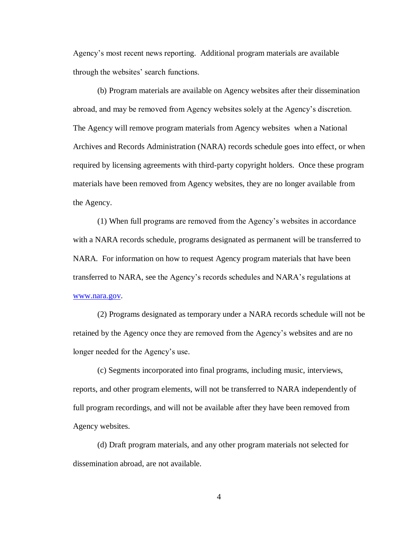Agency's most recent news reporting. Additional program materials are available through the websites' search functions.

(b) Program materials are available on Agency websites after their dissemination abroad, and may be removed from Agency websites solely at the Agency's discretion. The Agency will remove program materials from Agency websites when a National Archives and Records Administration (NARA) records schedule goes into effect, or when required by licensing agreements with third-party copyright holders. Once these program materials have been removed from Agency websites, they are no longer available from the Agency.

(1) When full programs are removed from the Agency's websites in accordance with a NARA records schedule, programs designated as permanent will be transferred to NARA. For information on how to request Agency program materials that have been transferred to NARA, see the Agency's records schedules and NARA's regulations at [www.nara.gov.](http://www.nara.gov/)

(2) Programs designated as temporary under a NARA records schedule will not be retained by the Agency once they are removed from the Agency's websites and are no longer needed for the Agency's use.

(c) Segments incorporated into final programs, including music, interviews, reports, and other program elements, will not be transferred to NARA independently of full program recordings, and will not be available after they have been removed from Agency websites.

(d) Draft program materials, and any other program materials not selected for dissemination abroad, are not available.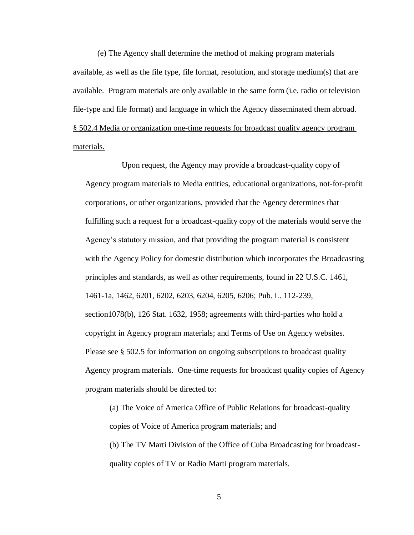(e) The Agency shall determine the method of making program materials available, as well as the file type, file format, resolution, and storage medium(s) that are available. Program materials are only available in the same form (i.e. radio or television file-type and file format) and language in which the Agency disseminated them abroad. § 502.4 Media or organization one-time requests for broadcast quality agency program materials.

Upon request, the Agency may provide a broadcast-quality copy of Agency program materials to Media entities, educational organizations, not-for-profit corporations, or other organizations, provided that the Agency determines that fulfilling such a request for a broadcast-quality copy of the materials would serve the Agency's statutory mission, and that providing the program material is consistent with the Agency Policy for domestic distribution which incorporates the Broadcasting principles and standards, as well as other requirements, found in 22 U.S.C. 1461, 1461-1a, 1462, 6201, 6202, 6203, 6204, 6205, 6206; Pub. L. 112-239, section1078(b), 126 Stat. 1632, 1958; agreements with third-parties who hold a copyright in Agency program materials; and Terms of Use on Agency websites. Please see § 502.5 for information on ongoing subscriptions to broadcast quality Agency program materials.One-time requests for broadcast quality copies of Agency program materials should be directed to:

(a) The Voice of America Office of Public Relations for broadcast-quality copies of Voice of America program materials; and

(b) The TV Marti Division of the Office of Cuba Broadcasting for broadcastquality copies of TV or Radio Marti program materials.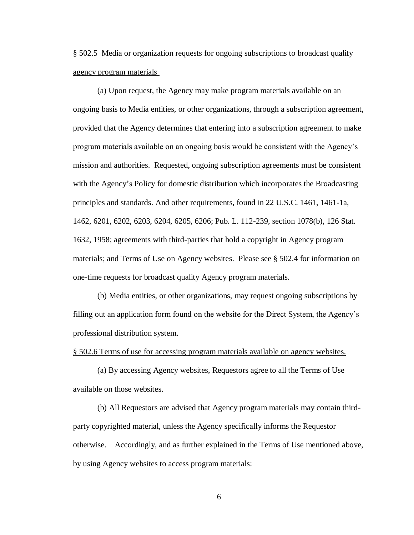§ 502.5 Media or organization requests for ongoing subscriptions to broadcast quality agency program materials

(a) Upon request, the Agency may make program materials available on an ongoing basis to Media entities, or other organizations, through a subscription agreement, provided that the Agency determines that entering into a subscription agreement to make program materials available on an ongoing basis would be consistent with the Agency's mission and authorities. Requested, ongoing subscription agreements must be consistent with the Agency's Policy for domestic distribution which incorporates the Broadcasting principles and standards. And other requirements, found in 22 U.S.C. 1461, 1461-1a, 1462, 6201, 6202, 6203, 6204, 6205, 6206; Pub. L. 112-239, section 1078(b), 126 Stat. 1632, 1958; agreements with third-parties that hold a copyright in Agency program materials; and Terms of Use on Agency websites. Please see § 502.4 for information on one-time requests for broadcast quality Agency program materials.

(b) Media entities, or other organizations, may request ongoing subscriptions by filling out an application form found on the website for the Direct System, the Agency's professional distribution system.

§ 502.6 Terms of use for accessing program materials available on agency websites.

(a) By accessing Agency websites, Requestors agree to all the Terms of Use available on those websites.

(b) All Requestors are advised that Agency program materials may contain thirdparty copyrighted material, unless the Agency specifically informs the Requestor otherwise. Accordingly, and as further explained in the Terms of Use mentioned above, by using Agency websites to access program materials: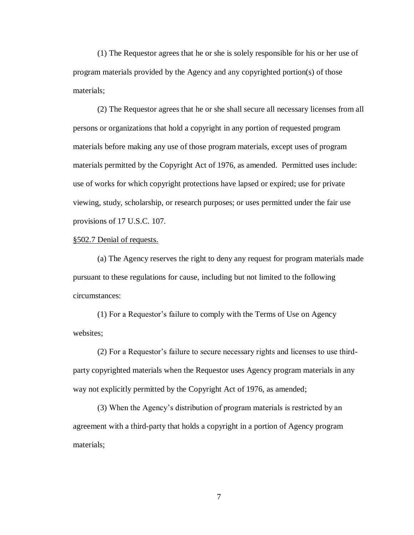(1) The Requestor agrees that he or she is solely responsible for his or her use of program materials provided by the Agency and any copyrighted portion(s) of those materials;

(2) The Requestor agrees that he or she shall secure all necessary licenses from all persons or organizations that hold a copyright in any portion of requested program materials before making any use of those program materials, except uses of program materials permitted by the Copyright Act of 1976, as amended. Permitted uses include: use of works for which copyright protections have lapsed or expired; use for private viewing, study, scholarship, or research purposes; or uses permitted under the fair use provisions of 17 U.S.C. 107.

### §502.7 Denial of requests.

(a) The Agency reserves the right to deny any request for program materials made pursuant to these regulations for cause, including but not limited to the following circumstances:

(1) For a Requestor's failure to comply with the Terms of Use on Agency websites;

(2) For a Requestor's failure to secure necessary rights and licenses to use thirdparty copyrighted materials when the Requestor uses Agency program materials in any way not explicitly permitted by the Copyright Act of 1976, as amended;

(3) When the Agency's distribution of program materials is restricted by an agreement with a third-party that holds a copyright in a portion of Agency program materials;